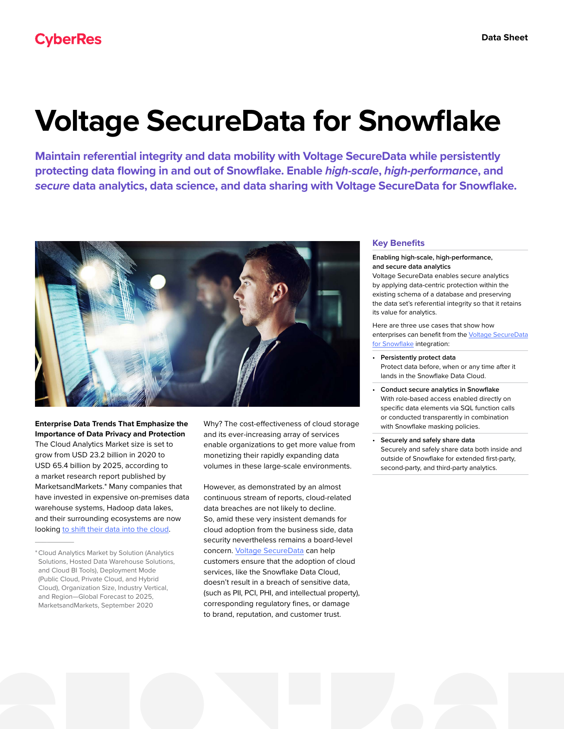# **Voltage SecureData for Snowflake**

**Maintain referential integrity and data mobility with Voltage SecureData while persistently protecting data flowing in and out of Snowflake. Enable** *high-scale***,** *high-performance***, and**  *secure* **data analytics, data science, and data sharing with Voltage SecureData for Snowflake.** 



**Enterprise Data Trends That Emphasize the Importance of Data Privacy and Protection**  The Cloud Analytics Market size is set to grow from USD 23.2 billion in 2020 to USD 65.4 billion by 2025, according to a market research report published by MarketsandMarkets.\* Many companies that have invested in expensive on-premises data warehouse systems, Hadoop data lakes, and their surrounding ecosystems are now looking [to shift their data into the cloud](https://www.microfocus.com/media/white-paper/voltage-securedata-cloud-wp.pdf).

 $\overline{\phantom{a}}$ 

Why? The cost-effectiveness of cloud storage and its ever-increasing array of services enable organizations to get more value from monetizing their rapidly expanding data volumes in these large-scale environments.

However, as demonstrated by an almost continuous stream of reports, cloud-related data breaches are not likely to decline. So, amid these very insistent demands for cloud adoption from the business side, data security nevertheless remains a board-level concern. [Voltage SecureData](https://www.microfocus.com/en-us/cyberres/data-privacy-protection/securedata-enterprise) can help customers ensure that the adoption of cloud services, like the Snowflake Data Cloud, doesn't result in a breach of sensitive data, (such as PII, PCI, PHI, and intellectual property), corresponding regulatory fines, or damage to brand, reputation, and customer trust.

# **Key Benefits**

## **Enabling high-scale, high-performance, and secure data analytics**

Voltage SecureData enables secure analytics by applying data-centric protection within the existing schema of a database and preserving the data set's referential integrity so that it retains its value for analytics.

Here are three use cases that show how enterprises can benefit from the [Voltage SecureData](https://www.microfocus.com/en-us/cyberres/partners/snowflake) [for Snowflake](https://www.microfocus.com/en-us/cyberres/partners/snowflake) integration:

- **• Persistently protect data** Protect data before, when or any time after it lands in the Snowflake Data Cloud.
- **• Conduct secure analytics in Snowflake** With role-based access enabled directly on specific data elements via SQL function calls or conducted transparently in combination with Snowflake masking policies.
- **• Securely and safely share data** Securely and safely share data both inside and outside of Snowflake for extended first-party, second-party, and third-party analytics.

<sup>\*</sup>Cloud Analytics Market by Solution (Analytics Solutions, Hosted Data Warehouse Solutions, and Cloud BI Tools), Deployment Mode (Public Cloud, Private Cloud, and Hybrid Cloud), Organization Size, Industry Vertical, and Region—Global Forecast to 2025, MarketsandMarkets, September 2020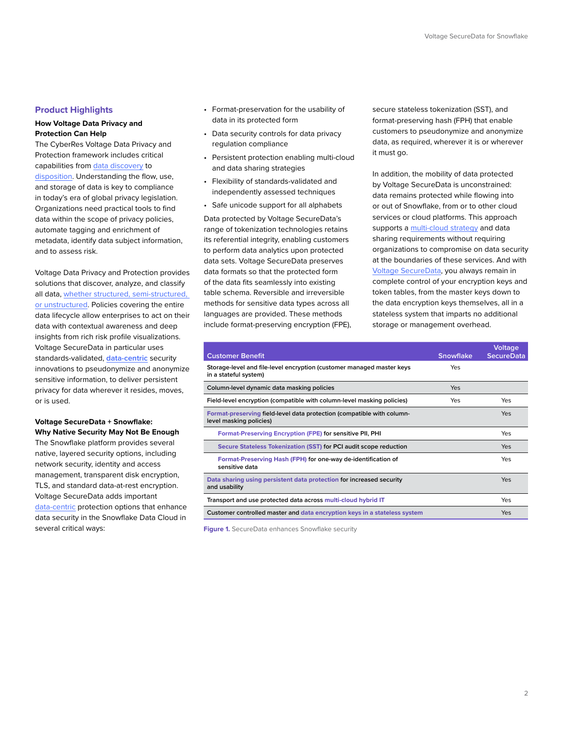# **Product Highlights**

and to assess risk.

# **How Voltage Data Privacy and Protection Can Help**

The CyberRes Voltage Data Privacy and Protection framework includes critical capabilities from [data discovery](https://www.microfocus.com/en-us/cyberres/data-privacy-protection/data-discovery) to [disposition](https://www.microfocus.com/en-us/cyberres/data-privacy-protection/structured-data-manager). Understanding the flow, use, and storage of data is key to compliance in today's era of global privacy legislation. Organizations need practical tools to find data within the scope of privacy policies, automate tagging and enrichment of metadata, identify data subject information,

Voltage Data Privacy and Protection provides solutions that discover, analyze, and classify all data, [whether structured, semi-structured,](https://www.microfocus.com/en-us/cyberres/data-privacy-protection)  [or unstructured](https://www.microfocus.com/en-us/cyberres/data-privacy-protection). Policies covering the entire data lifecycle allow enterprises to act on their data with contextual awareness and deep insights from rich risk profile visualizations. Voltage SecureData in particular uses standards-validated, **[data-centric](https://www.microfocus.com/media/data-sheet/voltage_securedata_security_ds.pdf)** security innovations to pseudonymize and anonymize sensitive information, to deliver persistent privacy for data wherever it resides, moves, or is used.

# **Voltage SecureData + Snowflake: Why Native Security May Not Be Enough**

The Snowflake platform provides several native, layered security options, including network security, identity and access management, transparent disk encryption, TLS, and standard data-at-rest encryption. Voltage SecureData adds important [data-centric](https://www.microfocus.com/media/data-sheet/voltage_securedata_security_ds.pdf) protection options that enhance data security in the Snowflake Data Cloud in several critical ways:

- Format-preservation for the usability of data in its protected form
- Data security controls for data privacy regulation compliance
- Persistent protection enabling multi-cloud and data sharing strategies
- Flexibility of standards-validated and independently assessed techniques
- Safe unicode support for all alphabets

Data protected by Voltage SecureData's range of tokenization technologies retains its referential integrity, enabling customers to perform data analytics upon protected data sets. Voltage SecureData preserves data formats so that the protected form of the data fits seamlessly into existing table schema. Reversible and irreversible methods for sensitive data types across all languages are provided. These methods include format-preserving encryption (FPE), secure stateless tokenization (SST), and format-preserving hash (FPH) that enable customers to pseudonymize and anonymize data, as required, wherever it is or wherever it must go.

In addition, the mobility of data protected by Voltage SecureData is unconstrained: data remains protected while flowing into or out of Snowflake, from or to other cloud services or cloud platforms. This approach supports a [multi-cloud strategy](https://www.microfocus.com/media/white-paper/voltage-securedata-cloud-wp.pdf) and data sharing requirements without requiring organizations to compromise on data security at the boundaries of these services. And with [Voltage SecureData,](https://www.youtube.com/watch?v=TDEPW4oaaUI&t=1189s) you always remain in complete control of your encryption keys and token tables, from the master keys down to the data encryption keys themselves, all in a stateless system that imparts no additional storage or management overhead.

|                                                                                                   |                  | <b>Voltage</b>    |
|---------------------------------------------------------------------------------------------------|------------------|-------------------|
| <b>Customer Benefit</b>                                                                           | <b>Snowflake</b> | <b>SecureData</b> |
| Storage-level and file-level encryption (customer managed master keys<br>in a stateful system)    | Yes              |                   |
| Column-level dynamic data masking policies                                                        | Yes              |                   |
| Field-level encryption (compatible with column-level masking policies)                            | Yes              | Yes               |
| Format-preserving field-level data protection (compatible with column-<br>level masking policies) |                  | Yes               |
| Format-Preserving Encryption (FPE) for sensitive PII, PHI                                         |                  | Yes               |
| Secure Stateless Tokenization (SST) for PCI audit scope reduction                                 |                  | <b>Yes</b>        |
| Format-Preserving Hash (FPH) for one-way de-identification of<br>sensitive data                   |                  | Yes               |
| Data sharing using persistent data protection for increased security<br>and usability             |                  | Yes               |
| Transport and use protected data across multi-cloud hybrid IT                                     |                  | Yes               |
| Customer controlled master and data encryption keys in a stateless system                         |                  | Yes               |

**Figure 1.** SecureData enhances Snowflake security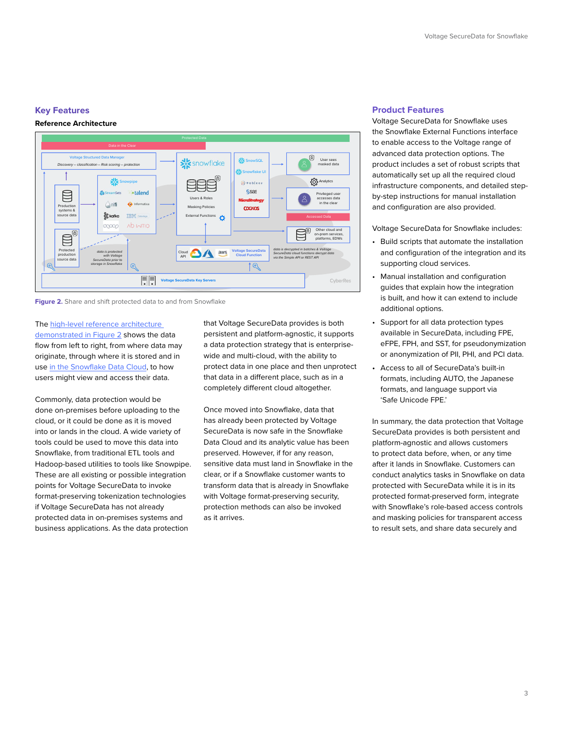## **Key Features**



**Figure 2.** Share and shift protected data to and from Snowflake

The [high-level reference architecture](https://www.youtube.com/watch?v=TDEPW4oaaUI&t=1169s)  [demonstrated in Figure 2](https://www.youtube.com/watch?v=TDEPW4oaaUI&t=1169s) shows the data flow from left to right, from where data may originate, through where it is stored and in use [in the Snowflake Data Cloud](https://www.youtube.com/watch?v=ULZEcYTvjlc), to how users might view and access their data.

Commonly, data protection would be done on-premises before uploading to the cloud, or it could be done as it is moved into or lands in the cloud. A wide variety of tools could be used to move this data into Snowflake, from traditional ETL tools and Hadoop-based utilities to tools like Snowpipe. These are all existing or possible integration points for Voltage SecureData to invoke format-preserving tokenization technologies if Voltage SecureData has not already protected data in on-premises systems and business applications. As the data protection

that Voltage SecureData provides is both persistent and platform-agnostic, it supports a data protection strategy that is enterprisewide and multi-cloud, with the ability to protect data in one place and then unprotect that data in a different place, such as in a completely different cloud altogether.

Once moved into Snowflake, data that has already been protected by Voltage SecureData is now safe in the Snowflake Data Cloud and its analytic value has been preserved. However, if for any reason, sensitive data must land in Snowflake in the clear, or if a Snowflake customer wants to transform data that is already in Snowflake with Voltage format-preserving security, protection methods can also be invoked as it arrives.

#### **Product Features**

Voltage SecureData for Snowflake uses the Snowflake External Functions interface to enable access to the Voltage range of advanced data protection options. The product includes a set of robust scripts that automatically set up all the required cloud infrastructure components, and detailed stepby-step instructions for manual installation and configuration are also provided.

Voltage SecureData for Snowflake includes:

- Build scripts that automate the installation and configuration of the integration and its supporting cloud services.
- Manual installation and configuration guides that explain how the integration is built, and how it can extend to include additional options.
- Support for all data protection types available in SecureData, including FPE, eFPE, FPH, and SST, for pseudonymization or anonymization of PII, PHI, and PCI data.
- Access to all of SecureData's built-in formats, including AUTO, the Japanese formats, and language support via 'Safe Unicode FPE.'

In summary, the data protection that Voltage SecureData provides is both persistent and platform-agnostic and allows customers to protect data before, when, or any time after it lands in Snowflake. Customers can conduct analytics tasks in Snowflake on data protected with SecureData while it is in its protected format-preserved form, integrate with Snowflake's role-based access controls and masking policies for transparent access to result sets, and share data securely and